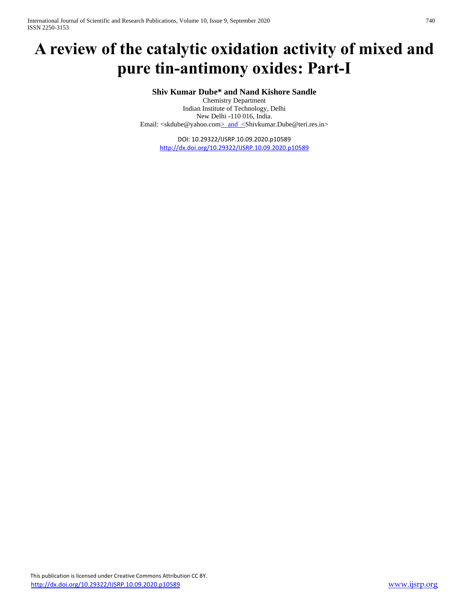# **A review of the catalytic oxidation activity of mixed and pure tin-antimony oxides: Part-I**

## **Shiv Kumar Dube\* and Nand Kishore Sandle**

Chemistry Department Indian Institute of Technology, Delhi New Delhi -110 016, India. Email: <skdube@yahoo.com> and <Shivkumar.Dube@teri.res.in>

DOI: 10.29322/IJSRP.10.09.2020.p10589 <http://dx.doi.org/10.29322/IJSRP.10.09.2020.p10589>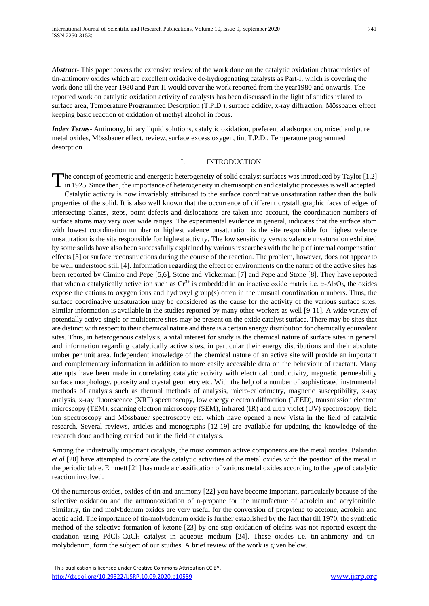*Abstract-* This paper covers the extensive review of the work done on the catalytic oxidation characteristics of tin-antimony oxides which are excellent oxidative de-hydrogenating catalysts as Part-I, which is covering the work done till the year 1980 and Part-II would cover the work reported from the year1980 and onwards. The reported work on catalytic oxidation activity of catalysts has been discussed in the light of studies related to surface area, Temperature Programmed Desorption (T.P.D.), surface acidity, x-ray diffraction, Mössbauer effect keeping basic reaction of oxidation of methyl alcohol in focus.

*Index Terms*- Antimony, binary liquid solutions, catalytic oxidation, preferential adsorpotion, mixed and pure metal oxides, Mössbauer effect, review, surface excess oxygen, tin, T.P.D., Temperature programmed desorption

#### I. INTRODUCTION

The concept of geometric and energetic heterogeneity of solid catalyst surfaces was introduced by Taylor [1,2] in 1925. Since then, the importance of heterogeneity in chemisorption and catalytic processes is well accepted. T

Catalytic activity is now invariably attributed to the surface coordinative unsaturation rather than the bulk properties of the solid. It is also well known that the occurrence of different crystallographic faces of edges of intersecting planes, steps, point defects and dislocations are taken into account, the coordination numbers of surface atoms may vary over wide ranges. The experimental evidence in general, indicates that the surface atom with lowest coordination number or highest valence unsaturation is the site responsible for highest valence unsaturation is the site responsible for highest activity. The low sensitivity versus valence unsaturation exhibited by some solids have also been successfully explained by various researches with the help of internal compensation effects [3] or surface reconstructions during the course of the reaction. The problem, however, does not appear to be well understood still [4]. Information regarding the effect of environments on the nature of the active sites has been reported by Cimino and Pepe [5,6], Stone and Vickerman [7] and Pepe and Stone [8]. They have reported that when a catalytically active ion such as  $Cr^{3+}$  is embedded in an inactive oxide matrix i.e.  $\alpha$ -Al<sub>2</sub>O<sub>3</sub>, the oxides expose the cations to oxygen ions and hydroxyl group(s) often in the unusual coordination numbers. Thus, the surface coordinative unsaturation may be considered as the cause for the activity of the various surface sites. Similar information is available in the studies reported by many other workers as well [9-11]. A wide variety of potentially active single or multicentre sites may be present on the oxide catalyst surface. There may be sites that are distinct with respect to their chemical nature and there is a certain energy distribution for chemically equivalent sites. Thus, in heterogenous catalysis, a vital interest for study is the chemical nature of surface sites in general and information regarding catalytically active sites, in particular their energy distributions and their absolute umber per unit area. Independent knowledge of the chemical nature of an active site will provide an important and complementary information in addition to more easily accessible data on the behaviour of reactant. Many attempts have been made in correlating catalytic activity with electrical conductivity, magnetic permeability surface morphology, porosity and crystal geometry etc. With the help of a number of sophisticated instrumental methods of analysis such as thermal methods of analysis, micro-calorimetry, magnetic susceptibility, x-ray analysis, x-ray fluorescence (XRF) spectroscopy, low energy electron diffraction (LEED), transmission electron microscopy (TEM), scanning electron microscopy (SEM), infrared (IR) and ultra violet (UV) spectroscopy, field ion spectroscopy and Mössbauer spectroscopy etc. which have opened a new Vista in the field of catalytic research. Several reviews, articles and monographs [12-19] are available for updating the knowledge of the research done and being carried out in the field of catalysis.

Among the industrially important catalysts, the most common active components are the metal oxides. Balandin *et al* [20] have attempted to correlate the catalytic activities of the metal oxides with the position of the metal in the periodic table. Emmett [21] has made a classification of various metal oxides according to the type of catalytic reaction involved.

Of the numerous oxides, oxides of tin and antimony [22] you have become important, particularly because of the selective oxidation and the ammonoxidation of n-propane for the manufacture of acrolein and acrylonitrile. Similarly, tin and molybdenum oxides are very useful for the conversion of propylene to acetone, acrolein and acetic acid. The importance of tin-molybdenum oxide is further established by the fact that till 1970, the synthetic method of the selective formation of ketone [23] by one step oxidation of olefins was not reported except the oxidation using PdCl2-CuCl<sup>2</sup> catalyst in aqueous medium [24]. These oxides i.e. tin-antimony and tinmolybdenum, form the subject of our studies. A brief review of the work is given below.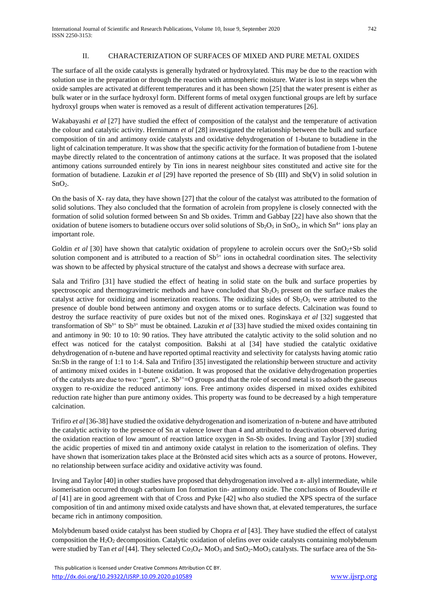## II. CHARACTERIZATION OF SURFACES OF MIXED AND PURE METAL OXIDES

The surface of all the oxide catalysts is generally hydrated or hydroxylated. This may be due to the reaction with solution use in the preparation or through the reaction with atmospheric moisture. Water is lost in steps when the oxide samples are activated at different temperatures and it has been shown [25] that the water present is either as bulk water or in the surface hydroxyl form. Different forms of metal oxygen functional groups are left by surface hydroxyl groups when water is removed as a result of different activation temperatures [26].

Wakabayashi *et al* [27] have studied the effect of composition of the catalyst and the temperature of activation the colour and catalytic activity. Hernimann *et al* [28] investigated the relationship between the bulk and surface composition of tin and antimony oxide catalysts and oxidative dehydrogenation of 1-butane to butadiene in the light of calcination temperature. It was show that the specific activity for the formation of butadiene from 1-butene maybe directly related to the concentration of antimony cations at the surface. It was proposed that the isolated antimony cations surrounded entirely by Tin ions in nearest neighbour sites constituted and active site for the formation of butadiene. Lazukin *et al* [29] have reported the presence of Sb (III) and Sb(V) in solid solution in  $SnO<sub>2</sub>$ .

On the basis of X- ray data, they have shown [27] that the colour of the catalyst was attributed to the formation of solid solutions. They also concluded that the formation of acrolein from propylene is closely connected with the formation of solid solution formed between Sn and Sb oxides. Trimm and Gabbay [22] have also shown that the oxidation of butene isomers to butadiene occurs over solid solutions of  $Sb_2O_5$  in  $SnO_2$ , in which  $Sn^{4+}$  ions play an important role.

Goldin *et al* [30] have shown that catalytic oxidation of propylene to acrolein occurs over the SnO<sub>2</sub>+Sb solid solution component and is attributed to a reaction of  $Sb<sup>5+</sup>$  ions in octahedral coordination sites. The selectivity was shown to be affected by physical structure of the catalyst and shows a decrease with surface area.

Sala and Trifiro [31] have studied the effect of heating in solid state on the bulk and surface properties by spectroscopic and thermogravimetric methods and have concluded that  $Sb<sub>2</sub>O<sub>5</sub>$  present on the surface makes the catalyst active for oxidizing and isomerization reactions. The oxidizing sides of  $Sb<sub>2</sub>O<sub>5</sub>$  were attributed to the presence of double bond between antimony and oxygen atoms or to surface defects. Calcination was found to destroy the surface reactivity of pure oxides but not of the mixed ones. Roginskaya *et al* [32] suggested that transformation of Sb<sup>5+</sup> to Sb<sup>3+</sup> must be obtained. Lazukin *et al* [33] have studied the mixed oxides containing tin and antimony in 90: 10 to 10: 90 ratios. They have attributed the catalytic activity to the solid solution and no effect was noticed for the catalyst composition. Bakshi at al [34] have studied the catalytic oxidative dehydrogenation of n-butene and have reported optimal reactivity and selectivity for catalysts having atomic ratio Sn:Sb in the range of 1:1 to 1:4. Sala and Trifiro [35] investigated the relationship between structure and activity of antimony mixed oxides in 1-butene oxidation. It was proposed that the oxidative dehydrogenation properties of the catalysts are due to two: "gem", i.e.  $Sb^{3+}=O$  groups and that the role of second metal is to adsorb the gaseous oxygen to re-oxidize the reduced antimony ions. Free antimony oxides dispersed in mixed oxides exhibited reduction rate higher than pure antimony oxides. This property was found to be decreased by a high temperature calcination.

Trifiro *et al* [36-38] have studied the oxidative dehydrogenation and isomerization of n-butene and have attributed the catalytic activity to the presence of Sn at valence lower than 4 and attributed to deactivation observed during the oxidation reaction of low amount of reaction lattice oxygen in Sn-Sb oxides. Irving and Taylor [39] studied the acidic properties of mixed tin and antimony oxide catalyst in relation to the isomerization of olefins. They have shown that isomerization takes place at the Brönsted acid sites which acts as a source of protons. However, no relationship between surface acidity and oxidative activity was found.

Irving and Taylor [40] in other studies have proposed that dehydrogenation involved a  $\pi$ - allyl intermediate, while isomerisation occurred through carbonium Ion formation tin- antimony oxide. The conclusions of Boudeville *et al* [41] are in good agreement with that of Cross and Pyke [42] who also studied the XPS spectra of the surface composition of tin and antimony mixed oxide catalysts and have shown that, at elevated temperatures, the surface became rich in antimony composition.

Molybdenum based oxide catalyst has been studied by Chopra *et al* [43]. They have studied the effect of catalyst composition the H2O<sup>2</sup> decomposition. Catalytic oxidation of olefins over oxide catalysts containing molybdenum were studied by Tan *et al* [44]. They selected Co<sub>3</sub>O<sub>4</sub>- MoO<sub>3</sub> and SnO<sub>2</sub>-MoO<sub>3</sub> catalysts. The surface area of the Sn-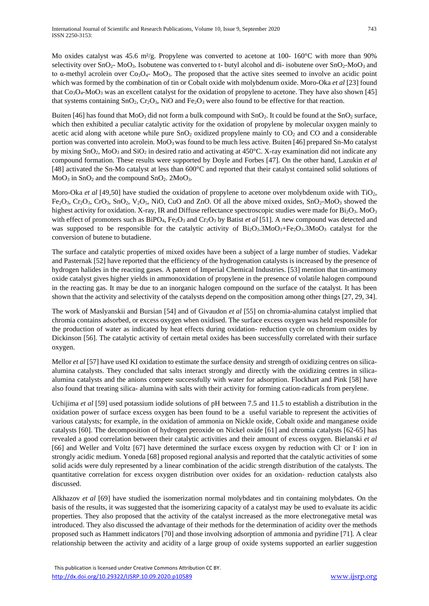Mo oxides catalyst was  $45.6 \text{ m}^2/\text{g}$ . Propylene was converted to acetone at 100- 160 $\degree$ C with more than 90% selectivity over SnO<sub>2</sub>- MoO<sub>3</sub>. Isobutene was converted to t- butyl alcohol and di- isobutene over SnO<sub>2</sub>-MoO<sub>3</sub> and to α-methyl acrolein over  $Co<sub>3</sub>O<sub>4</sub>$ - MoO<sub>3</sub>. The proposed that the active sites seemed to involve an acidic point which was formed by the combination of tin or Cobalt oxide with molybdenum oxide. Moro-Oka *et al* [23] found that  $Co_3O_4$ -Mo $O_3$  was an excellent catalyst for the oxidation of propylene to acetone. They have also shown [45] that systems containing  $SnO<sub>2</sub>, Cr<sub>2</sub>O<sub>3</sub>, NiO$  and  $Fe<sub>2</sub>O<sub>3</sub>$  were also found to be effective for that reaction.

Buiten [46] has found that  $Mo_{3}$  did not form a bulk compound with  $SnO_{2}$ . It could be found at the  $SnO_{2}$  surface, which then exhibited a peculiar catalytic activity for the oxidation of propylene by molecular oxygen mainly to acetic acid along with acetone while pure  $SnO<sub>2</sub>$  oxidized propylene mainly to  $CO<sub>2</sub>$  and CO and a considerable portion was converted into acrolein. MoO3 was found to be much less active. Buiten [46] prepared Sn-Mo catalyst by mixing  $SnO<sub>2</sub>$ , MoO<sub>3</sub> and SiO<sub>2</sub> in desired ratio and activating at 450°C. X-ray examination did not indicate any compound formation. These results were supported by Doyle and Forbes [47]. On the other hand, Lazukin *et al* [48] activated the Sn-Mo catalyst at less than 600°C and reported that their catalyst contained solid solutions of  $MoO<sub>3</sub>$  in  $SnO<sub>2</sub>$  and the compound  $SnO<sub>2</sub>$ .  $2MoO<sub>3</sub>$ .

Moro-Oka *et al* [49,50] have studied the oxidation of propylene to acetone over molybdenum oxide with TiO<sub>2</sub>,  $Fe<sub>2</sub>O<sub>3</sub>$ ,  $CrO<sub>3</sub>$ ,  $CrO<sub>3</sub>$ ,  $SnO<sub>2</sub>$ ,  $V<sub>2</sub>O<sub>5</sub>$ , NiO, CuO and ZnO. Of all the above mixed oxides,  $SnO<sub>2</sub>$ -MoO<sub>3</sub> showed the highest activity for oxidation. X-ray, IR and Diffuse reflectance spectroscopic studies were made for  $Bi_2O_3$ . MoO<sub>3</sub> with effect of promoters such as BiPO<sub>4</sub>, Fe<sub>2</sub>O<sub>3</sub> and Cr<sub>2</sub>O<sub>3</sub> by Batist *et al* [51]. A new compound was detected and was supposed to be responsible for the catalytic activity of  $Bi_2O_3.3MoO_3+Fe_2O_3.3MoO_3$  catalyst for the conversion of butene to butadiene.

The surface and catalytic properties of mixed oxides have been a subject of a large number of studies. Vadekar and Pasternak [52] have reported that the efficiency of the hydrogenation catalysts is increased by the presence of hydrogen halides in the reacting gases. A patent of Imperial Chemical Industries. [53] mention that tin-antimony oxide catalyst gives higher yields in ammonoxidation of propylene in the presence of volatile halogen compound in the reacting gas. It may be due to an inorganic halogen compound on the surface of the catalyst. It has been shown that the activity and selectivity of the catalysts depend on the composition among other things [27, 29, 34].

The work of Maslyanskii and Bursian [54] and of Givaudon *et al* [55] on chromia-alumina catalyst implied that chromia contains adsorbed, or excess oxygen when oxidised. The surface excess oxygen was held responsible for the production of water as indicated by heat effects during oxidation- reduction cycle on chromium oxides by Dickinson [56]. The catalytic activity of certain metal oxides has been successfully correlated with their surface oxygen.

Mellor *et al* [57] have used KI oxidation to estimate the surface density and strength of oxidizing centres on silicaalumina catalysts. They concluded that salts interact strongly and directly with the oxidizing centres in silicaalumina catalysts and the anions compete successfully with water for adsorption. Flockhart and Pink [58] have also found that treating silica- alumina with salts with their activity for forming cation-radicals from perylene.

Uchijima *et al* [59] used potassium iodide solutions of pH between 7.5 and 11.5 to establish a distribution in the oxidation power of surface excess oxygen has been found to be a useful variable to represent the activities of various catalysts; for example, in the oxidation of ammonia on Nickle oxide, Cobalt oxide and manganese oxide catalysts [60]. The decomposition of hydrogen peroxide on Nickel oxide [61] and chromia catalysts [62-65] has revealed a good correlation between their catalytic activities and their amount of excess oxygen. Bielanski *et al* [66] and Weller and Voltz [67] have determined the surface excess oxygen by reduction with Cl or I ion in strongly acidic medium. Yoneda [68] proposed regional analysis and reported that the catalytic activities of some solid acids were duly represented by a linear combination of the acidic strength distribution of the catalysts. The quantitative correlation for excess oxygen distribution over oxides for an oxidation- reduction catalysts also discussed.

Alkhazov *et al* [69] have studied the isomerization normal molybdates and tin containing molybdates. On the basis of the results, it was suggested that the isomerizing capacity of a catalyst may be used to evaluate its acidic properties. They also proposed that the activity of the catalyst increased as the more electronegative metal was introduced. They also discussed the advantage of their methods for the determination of acidity over the methods proposed such as Hammett indicators [70] and those involving adsorption of ammonia and pyridine [71]. A clear relationship between the activity and acidity of a large group of oxide systems supported an earlier suggestion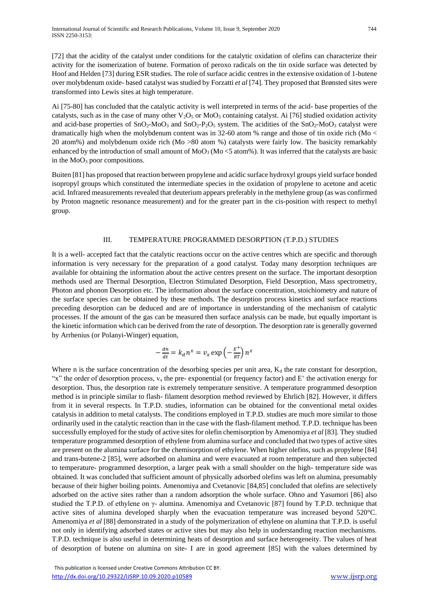[72] that the acidity of the catalyst under conditions for the catalytic oxidation of olefins can characterize their activity for the isomerization of butene. Formation of peroxo radicals on the tin oxide surface was detected by Hoof and Helden [73] during ESR studies. The role of surface acidic centres in the extensive oxidation of 1-butene over molybdenum oxide- based catalyst was studied by Forzatti *et al* [74]. They proposed that Brønsted sites were transformed into Lewis sites at high temperature.

Ai [75-80] has concluded that the catalytic activity is well interpreted in terms of the acid- base properties of the catalysts, such as in the case of many other  $V_2O_5$  or  $MoO_3$  containing catalyst. Ai [76] studied oxidation activity and acid-base properties of  $SnO_2-MoO_3$  and  $SnO_2-P_2O_5$  system. The acidities of the  $SnO_2-MoO_3$  catalyst were dramatically high when the molybdenum content was in  $32{\text -}60$  atom % range and those of tin oxide rich (Mo  $\lt$ 20 atom%) and molybdenum oxide rich (Mo >80 atom %) catalysts were fairly low. The basicity remarkably enhanced by the introduction of small amount of  $MoO<sub>3</sub> (Mo < 5 atom%)$ . It was inferred that the catalysts are basic in the MoO<sub>3</sub> poor compositions.

Buiten [81] has proposed that reaction between propylene and acidic surface hydroxyl groups yield surface bonded isopropyl groups which constituted the intermediate species in the oxidation of propylene to acetone and acetic acid. Infrared measurements revealed that deuterium appears preferably in the methylene group (as was confirmed by Proton magnetic resonance measurement) and for the greater part in the cis-position with respect to methyl group.

#### III. TEMPERATURE PROGRAMMED DESORPTION (T.P.D.) STUDIES

It is a well- accepted fact that the catalytic reactions occur on the active centres which are specific and thorough information is very necessary for the preparation of a good catalyst. Today many desorption techniques are available for obtaining the information about the active centres present on the surface. The important desorption methods used are Thermal Desorption, Electron Stimulated Desorption, Field Desorption, Mass spectrometry, Photon and phonon Desorption etc. The information about the surface concentration, stoichiometry and nature of the surface species can be obtained by these methods. The desorption process kinetics and surface reactions preceding desorption can be deduced and are of importance in understanding of the mechanism of catalytic processes. If the amount of the gas can be measured then surface analysis can be made, but equally important is the kinetic information which can be derived from the rate of desorption. The desorption rate is generally governed by Arrhenius (or Polanyi-Winger) equation,

$$
-\frac{dn}{dt} = k_d n^x = v_x \exp\left(-\frac{E^+}{RT}\right) n^x
$$

Where n is the surface concentration of the desorbing species per unit area,  $K_d$  the rate constant for desorption, "x" the order of desorption process,  $v_x$  the pre- exponential (or frequency factor) and  $E^+$  the activation energy for desorption. Thus, the desorption rate is extremely temperature sensitive. A temperature programmed desorption method is in principle similar to flash- filament desorption method reviewed by Ehrlich [82]. However, it differs from it in several respects. In T.P.D. studies, information can be obtained for the conventional metal oxides catalysis in addition to metal catalysts. The conditions employed in T.P.D. studies are much more similar to those ordinarily used in the catalytic reaction than in the case with the flash-filament method. T.P.D. technique has been successfully employed for the study of active sites for olefin chemisorption by Amenomiya *et al* [83]. They studied temperature programmed desorption of ethylene from alumina surface and concluded that two types of active sites are present on the alumina surface for the chemisorption of ethylene. When higher olefins, such as propylene [84] and trans-butene-2 [85], were adsorbed on alumina and were evacuated at room temperature and then subjected to temperature- programmed desorption, a larger peak with a small shoulder on the high- temperature side was obtained. It was concluded that sufficient amount of physically adsorbed olefins was left on alumina, presumably because of their higher boiling points. Amenomiya and Cvetanovic [84,85] concluded that olefins are selectively adsorbed on the active sites rather than a random adsorption the whole surface. Ohno and Yasumori [86] also studied the T.P.D. of ethylene on  $\gamma$ - alumina. Amenomiya and Cvetanovic [87] found by T.P.D. technique that active sites of alumina developed sharply when the evacuation temperature was increased beyond 520°C. Amenomiya *et al* [88] demonstrated in a study of the polymerization of ethylene on alumina that T.P.D. is useful not only in identifying adsorbed states or active sites but may also help in understanding reaction mechanisms. T.P.D. technique is also useful in determining heats of desorption and surface heterogeneity. The values of heat of desorption of butene on alumina on site- I are in good agreement [85] with the values determined by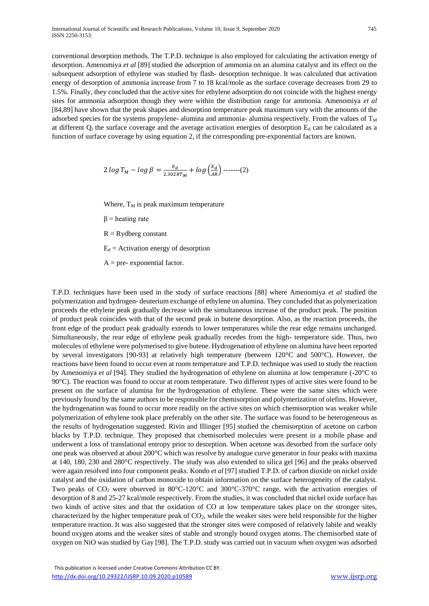conventional desorption methods. The T.P.D. technique is also employed for calculating the activation energy of desorption. Amenomiya *et al* [89] studied the adsorption of ammonia on an alumina catalyst and its effect on the subsequent adsorption of ethylene was studied by flash- desorption technique. It was calculated that activation energy of desorption of ammonia increase from 7 to 18 kcal/mole as the surface coverage decreases from 29 to 1.5%. Finally, they concluded that the active sites for ethylene adsorption do not coincide with the highest energy sites for ammonia adsorption though they were within the distribution range for ammonia. Amenomiya *et al* [84,89] have shown that the peak shapes and desorption temperature peak maximum vary with the amounts of the adsorbed species for the systems propylene- alumina and ammonia- alumina respectively. From the values of  $T_M$ at different  $Q_i$  the surface coverage and the average activation energies of desorption  $E_d$  can be calculated as a function of surface coverage by using equation 2, if the corresponding pre-exponential factors are known.

$$
2\log T_M - \log \beta = \frac{E_d}{2.302RT_M} + \log\left(\frac{E_d}{AR}\right) \cdots \cdots \cdots (2)
$$

Where,  $T_M$  is peak maximum temperature

 $β = heating rate$ 

 $R = R$ ydberg constant

 $E_d$  = Activation energy of desorption

 $A = pre$ - exponential factor.

T.P.D. techniques have been used in the study of surface reactions [88] where Amenomiya *et al* studied the polymerization and hydrogen- deuterium exchange of ethylene on alumina. They concluded that as polymerization proceeds the ethylene peak gradually decrease with the simultaneous increase of the product peak. The position of product peak coincides with that of the second peak in butene desorption. Also, as the reaction proceeds, the front edge of the product peak gradually extends to lower temperatures while the rear edge remains unchanged. Simultaneously, the rear edge of ethylene peak gradually recedes from the high- temperature side. Thus, two molecules of ethylene were polymerised to give butene. Hydrogenation of ethylene on alumina have been reported by several investigators [90-93] at relatively high temperature (between 120°C and 500°C). However, the reactions have been found to occur even at room temperature and T.P.D. technique was used to study the reaction by Amenomiya *et al* [94]. They studied the hydrogenation of ethylene on alumina at low temperature (-20°C to 90°C). The reaction was found to occur at room temperature. Two different types of active sites were found to be present on the surface of alumina for the hydrogenation of ethylene. These were the same sites which were previously found by the same authors to be responsible for chemisorption and polymerization of olefins. However, the hydrogenation was found to occur more readily on the active sites on which chemisorption was weaker while polymerization of ethylene took place preferably on the other site. The surface was found to be heterogeneous as the results of hydrogenation suggested. Rivin and Illinger [95] studied the chemisorption of acetone on carbon blacks by T.P.D. technique. They proposed that chemisorbed molecules were present in a mobile phase and underwent a loss of translational entropy prior to desorption. When acetone was desorbed from the surface only one peak was observed at about 200°C which was resolve by analogue curve generator in four peaks with maxima at 140, 180, 230 and 280°C respectively. The study was also extended to silica gel [96] and the peaks observed were again resolved into four component peaks. Kondo *et al* [97] studied T.P.D. of carbon dioxide on nickel oxide catalyst and the oxidation of carbon monoxide to obtain information on the surface heterogeneity of the catalyst. Two peaks of  $CO_2$  were observed in 80°C-120°C and 300°C-370°C range, with the activation energies of desorption of 8 and 25-27 kcal/mole respectively. From the studies, it was concluded that nickel oxide surface has two kinds of active sites and that the oxidation of CO at low temperature takes place on the stronger sites, characterized by the higher temperature peak of  $CO<sub>2</sub>$ , while the weaker sites were held responsible for the higher temperature reaction. It was also suggested that the stronger sites were composed of relatively labile and weakly bound oxygen atoms and the weaker sites of stable and strongly bound oxygen atoms. The chemisorbed state of oxygen on NiO was studied by Gay [98]. The T.P.D. study was carried out in vacuum when oxygen was adsorbed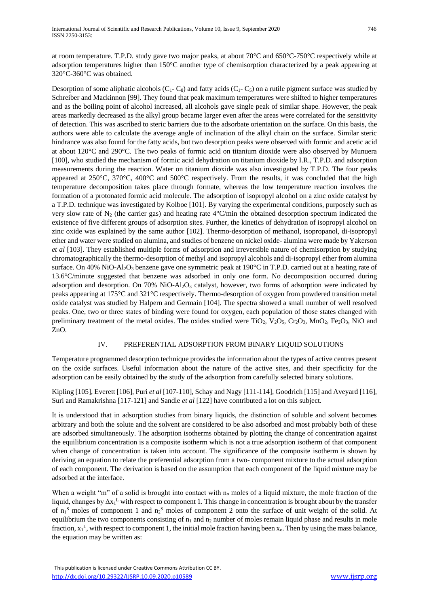at room temperature. T.P.D. study gave two major peaks, at about 70°C and 650°C-750°C respectively while at adsorption temperatures higher than 150°C another type of chemisorption characterized by a peak appearing at 320°C-360°C was obtained.

Desorption of some aliphatic alcohols ( $C_1$ -  $C_8$ ) and fatty acids ( $C_1$ -  $C_5$ ) on a rutile pigment surface was studied by Schreiber and Mackinnon [99]. They found that peak maximum temperatures were shifted to higher temperatures and as the boiling point of alcohol increased, all alcohols gave single peak of similar shape. However, the peak areas markedly decreased as the alkyl group became larger even after the areas were correlated for the sensitivity of detection. This was ascribed to steric barriers due to the adsorbate orientation on the surface. On this basis, the authors were able to calculate the average angle of inclination of the alkyl chain on the surface. Similar steric hindrance was also found for the fatty acids, but two desorption peaks were observed with formic and acetic acid at about 120°C and 290°C. The two peaks of formic acid on titanium dioxide were also observed by Munuera [100], who studied the mechanism of formic acid dehydration on titanium dioxide by I.R., T.P.D. and adsorption measurements during the reaction. Water on titanium dioxide was also investigated by T.P.D. The four peaks appeared at 250°C, 370°C, 400°C and 500°C respectively. From the results, it was concluded that the high temperature decomposition takes place through formate, whereas the low temperature reaction involves the formation of a protonated formic acid molecule. The adsorption of isopropyl alcohol on a zinc oxide catalyst by a T.P.D. technique was investigated by Kolboe [101]. By varying the experimental conditions, purposely such as very slow rate of  $N_2$  (the carrier gas) and heating rate  $4^{\circ}C/\text{min}$  the obtained desorption spectrum indicated the existence of five different groups of adsorption sites. Further, the kinetics of dehydration of isopropyl alcohol on zinc oxide was explained by the same author [102]. Thermo-desorption of methanol, isopropanol, di-isopropyl ether and water were studied on alumina, and studies of benzene on nickel oxide- alumina were made by Yakerson *et al* [103]. They established multiple forms of adsorption and irreversible nature of chemisorption by studying chromatographically the thermo-desorption of methyl and isopropyl alcohols and di-isopropyl ether from alumina surface. On 40% NiO-Al<sub>2</sub>O<sub>3</sub> benzene gave one symmetric peak at 190°C in T.P.D. carried out at a heating rate of 13.6°C/minute suggested that benzene was adsorbed in only one form. No decomposition occurred during adsorption and desorption. On 70% NiO-Al2O<sup>3</sup> catalyst, however, two forms of adsorption were indicated by peaks appearing at 175°C and 321°C respectively. Thermo-desorption of oxygen from powdered transition metal oxide catalyst was studied by Halpern and Germain [104]. The spectra showed a small number of well resolved peaks. One, two or three states of binding were found for oxygen, each population of those states changed with preliminary treatment of the metal oxides. The oxides studied were TiO<sub>2</sub>, V<sub>2</sub>O<sub>5</sub>, Cr<sub>2</sub>O<sub>3</sub>, MnO<sub>2</sub>, Fe<sub>2</sub>O<sub>3</sub>, NiO and ZnO.

## IV. PREFERENTIAL ADSORPTION FROM BINARY LIQUID SOLUTIONS

Temperature programmed desorption technique provides the information about the types of active centres present on the oxide surfaces. Useful information about the nature of the active sites, and their specificity for the adsorption can be easily obtained by the study of the adsorption from carefully selected binary solutions.

Kipling [105], Everett [106], Puri *et al* [107-110], Schay and Nagy [111-114], Goodrich [115] and Aveyard [116], Suri and Ramakrishna [117-121] and Sandle *et al* [122] have contributed a lot on this subject.

It is understood that in adsorption studies from binary liquids, the distinction of soluble and solvent becomes arbitrary and both the solute and the solvent are considered to be also adsorbed and most probably both of these are adsorbed simultaneously. The adsorption isotherms obtained by plotting the change of concentration against the equilibrium concentration is a composite isotherm which is not a true adsorption isotherm of that component when change of concentration is taken into account. The significance of the composite isotherm is shown by deriving an equation to relate the preferential adsorption from a two- component mixture to the actual adsorption of each component. The derivation is based on the assumption that each component of the liquid mixture may be adsorbed at the interface.

When a weight "m" of a solid is brought into contact with  $n_0$  moles of a liquid mixture, the mole fraction of the liquid, changes by  $\Delta x_1^L$  with respect to component 1. This change in concentration is brought about by the transfer of  $n_1$ <sup>S</sup> moles of component 1 and  $n_2$ <sup>S</sup> moles of component 2 onto the surface of unit weight of the solid. At equilibrium the two components consisting of  $n_1$  and  $n_2$  number of moles remain liquid phase and results in mole fraction,  $x_1^L$ , with respect to component 1, the initial mole fraction having been  $x_0$ . Then by using the mass balance, the equation may be written as: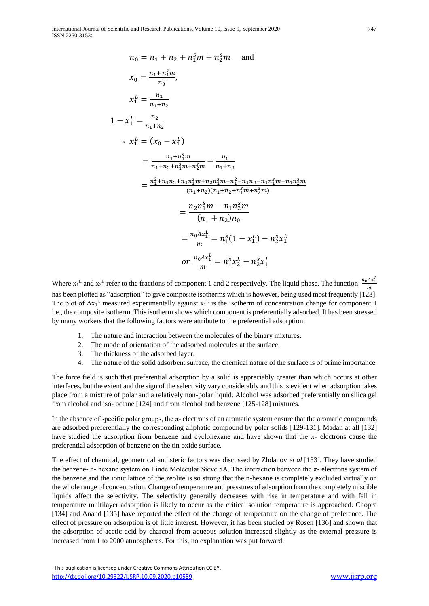$$
n_0 = n_1 + n_2 + n_1^s m + n_2^s m \text{ and}
$$
  
\n
$$
x_0 = \frac{n_1 + n_1^s m}{n_0^s},
$$
  
\n
$$
x_1^L = \frac{n_1}{n_1 + n_2}
$$
  
\n
$$
1 - x_1^L = \frac{n_2}{n_1 + n_2}
$$
  
\n
$$
\cdot x_1^L = (x_0 - x_1^L)
$$
  
\n
$$
= \frac{n_1 + n_1^s m}{n_1 + n_2 + n_1^s m + n_2^s m} - \frac{n_1}{n_1 + n_2}
$$
  
\n
$$
= \frac{n_1^2 + n_1 n_2 + n_1 n_1^s m + n_2 n_1^s m - n_1^2 - n_1 n_1^s m - n_1 n_2^s m}{(n_1 + n_2)(n_1 + n_2 + n_1^s m + n_2^s m)}
$$
  
\n
$$
= \frac{n_2 n_1^s m - n_1 n_2^s m}{(n_1 + n_2)n_0}
$$
  
\n
$$
= \frac{n_0 \Delta x_1^L}{m} = n_1^s (1 - x_1^L) - n_2^s x_1^L
$$
  
\nor 
$$
\frac{n_0 \Delta x_1^L}{m} = n_1^s x_2^L - n_2^s x_1^L
$$

Where  $x_1^L$  and  $x_2^L$  refer to the fractions of component 1 and 2 respectively. The liquid phase. The function  $\frac{n_0 \Delta x_1^L}{n}$  $\frac{1}{m}$ has been plotted as "adsorption" to give composite isotherms which is however, being used most frequently [123]. The plot of  $\Delta x_1^L$  measured experimentally against  $x_1^L$  is the isotherm of concentration change for component 1 i.e., the composite isotherm. This isotherm shows which component is preferentially adsorbed. It has been stressed by many workers that the following factors were attribute to the preferential adsorption:

- 1. The nature and interaction between the molecules of the binary mixtures.
- 2. The mode of orientation of the adsorbed molecules at the surface.
- 3. The thickness of the adsorbed layer.
- 4. The nature of the solid adsorbent surface, the chemical nature of the surface is of prime importance.

The force field is such that preferential adsorption by a solid is appreciably greater than which occurs at other interfaces, but the extent and the sign of the selectivity vary considerably and this is evident when adsorption takes place from a mixture of polar and a relatively non-polar liquid. Alcohol was adsorbed preferentially on silica gel from alcohol and iso- octane [124] and from alcohol and benzene [125-128] mixtures.

In the absence of specific polar groups, the  $\pi$ - electrons of an aromatic system ensure that the aromatic compounds are adsorbed preferentially the corresponding aliphatic compound by polar solids [129-131]. Madan at all [132] have studied the adsorption from benzene and cyclohexane and have shown that the  $\pi$ - electrons cause the preferential adsorption of benzene on the tin oxide surface.

The effect of chemical, geometrical and steric factors was discussed by Zhdanov *et al* [133]. They have studied the benzene- n- hexane system on Linde Molecular Sieve 5A. The interaction between the  $\pi$ - electrons system of the benzene and the ionic lattice of the zeolite is so strong that the n-hexane is completely excluded virtually on the whole range of concentration. Change of temperature and pressures of adsorption from the completely miscible liquids affect the selectivity. The selectivity generally decreases with rise in temperature and with fall in temperature multilayer adsorption is likely to occur as the critical solution temperature is approached. Chopra [134] and Anand [135] have reported the effect of the change of temperature on the change of preference. The effect of pressure on adsorption is of little interest. However, it has been studied by Rosen [136] and shown that the adsorption of acetic acid by charcoal from aqueous solution increased slightly as the external pressure is increased from 1 to 2000 atmospheres. For this, no explanation was put forward.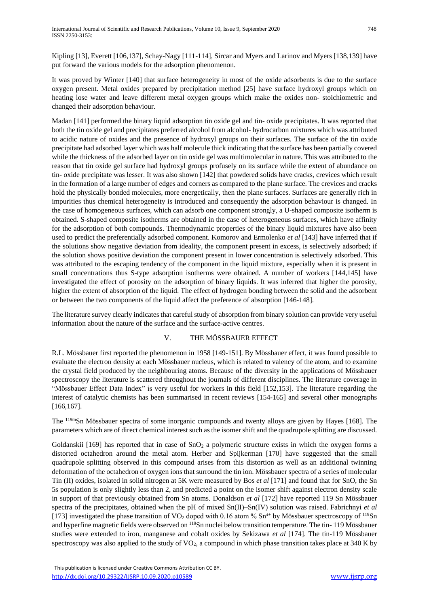Kipling [13], Everett [106,137], Schay-Nagy [111-114], Sircar and Myers and Larinov and Myers [138,139] have put forward the various models for the adsorption phenomenon.

It was proved by Winter [140] that surface heterogeneity in most of the oxide adsorbents is due to the surface oxygen present. Metal oxides prepared by precipitation method [25] have surface hydroxyl groups which on heating lose water and leave different metal oxygen groups which make the oxides non- stoichiometric and changed their adsorption behaviour.

Madan [141] performed the binary liquid adsorption tin oxide gel and tin- oxide precipitates. It was reported that both the tin oxide gel and precipitates preferred alcohol from alcohol- hydrocarbon mixtures which was attributed to acidic nature of oxides and the presence of hydroxyl groups on their surfaces. The surface of the tin oxide precipitate had adsorbed layer which was half molecule thick indicating that the surface has been partially covered while the thickness of the adsorbed layer on tin oxide gel was multimolecular in nature. This was attributed to the reason that tin oxide gel surface had hydroxyl groups profusely on its surface while the extent of abundance on tin- oxide precipitate was lesser. It was also shown [142] that powdered solids have cracks, crevices which result in the formation of a large number of edges and corners as compared to the plane surface. The crevices and cracks hold the physically bonded molecules, more energetically, then the plane surfaces. Surfaces are generally rich in impurities thus chemical heterogeneity is introduced and consequently the adsorption behaviour is changed. In the case of homogeneous surfaces, which can adsorb one component strongly, a U-shaped composite isotherm is obtained. S-shaped composite isotherms are obtained in the case of heterogeneous surfaces, which have affinity for the adsorption of both compounds. Thermodynamic properties of the binary liquid mixtures have also been used to predict the preferentially adsorbed component. Komorov and Ermolenko *et al* [143] have inferred that if the solutions show negative deviation from ideality, the component present in excess, is selectively adsorbed; if the solution shows positive deviation the component present in lower concentration is selectively adsorbed. This was attributed to the escaping tendency of the component in the liquid mixture, especially when it is present in small concentrations thus S-type adsorption isotherms were obtained. A number of workers [144,145] have investigated the effect of porosity on the adsorption of binary liquids. It was inferred that higher the porosity, higher the extent of absorption of the liquid. The effect of hydrogen bonding between the solid and the adsorbent or between the two components of the liquid affect the preference of absorption [146-148].

The literature survey clearly indicates that careful study of absorption from binary solution can provide very useful information about the nature of the surface and the surface-active centres.

# V. THE MÖSSBAUER EFFECT

R.L. Mössbauer first reported the phenomenon in 1958 [149-151]. By Mössbauer effect, it was found possible to evaluate the electron density at each Mössbauer nucleus, which is related to valency of the atom, and to examine the crystal field produced by the neighbouring atoms. Because of the diversity in the applications of Mössbauer spectroscopy the literature is scattered throughout the journals of different disciplines. The literature coverage in "Mössbauer Effect Data Index" is very useful for workers in this field [152,153]. The literature regarding the interest of catalytic chemists has been summarised in recent reviews [154-165] and several other monographs [166,167].

The 119mSn Mössbauer spectra of some inorganic compounds and twenty alloys are given by Hayes [168]. The parameters which are of direct chemical interest such as the isomer shift and the quadrupole splitting are discussed.

Goldanskii [169] has reported that in case of  $SnO<sub>2</sub>$  a polymeric structure exists in which the oxygen forms a distorted octahedron around the metal atom. Herber and Spijkerman [170] have suggested that the small quadrupole splitting observed in this compound arises from this distortion as well as an additional twinning deformation of the octahedron of oxygen ions that surround the tin ion. Mössbauer spectra of a series of molecular Tin (II) oxides, isolated in solid nitrogen at 5K were measured by Bos *et al* [171] and found that for SnO, the Sn 5s population is only slightly less than 2, and predicted a point on the isomer shift against electron density scale in support of that previously obtained from Sn atoms. Donaldson *et al* [172] have reported 119 Sn Mössbauer spectra of the precipitates, obtained when the pH of mixed Sn(II)–Sn(IV) solution was raised. Fabrichnyi *et al* [173] investigated the phase transition of  $VO_2$  doped with 0.16 atom % Sn<sup>4+</sup> by Mössbauer spectroscopy of <sup>119</sup>Sn and hyperfine magnetic fields were observed on <sup>119</sup>Sn nuclei below transition temperature. The tin- 119 Mössbauer studies were extended to iron, manganese and cobalt oxides by Sekizawa *et al* [174]. The tin-119 Mössbauer spectroscopy was also applied to the study of  $VO<sub>2</sub>$ , a compound in which phase transition takes place at 340 K by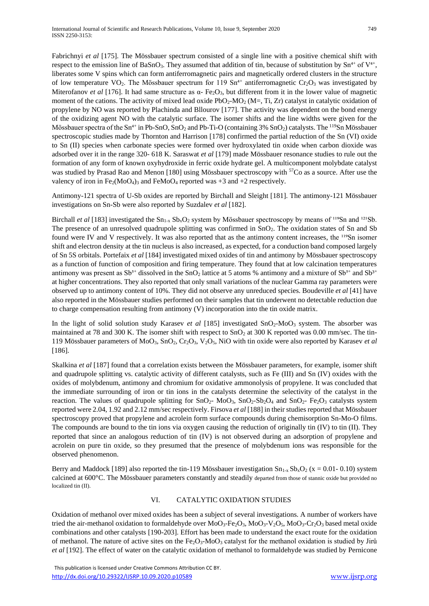Fabrichnyi *et al* [175]. The Mössbauer spectrum consisted of a single line with a positive chemical shift with respect to the emission line of BaSnO<sub>3</sub>. They assumed that addition of tin, because of substitution by  $Sn^{4+}$  of  $V^{4+}$ , liberates some V spins which can form antiferromagnetic pairs and magnetically ordered clusters in the structure of low temperature VO<sub>2</sub>. The Mössbauer spectrum for 119 Sn<sup>4+</sup> antiferromagnetic Cr<sub>2</sub>O<sub>3</sub> was investigated by Miterofanov *et al* [176]. It had same structure as α- Fe<sub>2</sub>O<sub>3</sub>, but different from it in the lower value of magnetic moment of the cations. The activity of mixed lead oxide  $PbO<sub>2</sub>-MO<sub>2</sub> (M=, Ti, Zr)$  catalyst in catalytic oxidation of propylene by NO was reported by Plachinda and Bllourov [177]. The activity was dependent on the bond energy of the oxidizing agent NO with the catalytic surface. The isomer shifts and the line widths were given for the Mössbauer spectra of the Sn<sup>4+</sup> in Pb-SnO, SnO<sub>2</sub> and Pb-Ti-O (containing 3% SnO<sub>2</sub>) catalysts. The <sup>119</sup>Sn Mössbauer spectroscopic studies made by Thornton and Harrison [178] confirmed the partial reduction of the Sn (VI) oxide to Sn (II) species when carbonate species were formed over hydroxylated tin oxide when carbon dioxide was adsorbed over it in the range 320- 618 K. Saraswat *et al* [179] made Mössbauer resonance studies to rule out the formation of any form of known oxyhydroxide in ferric oxide hydrate gel. A multicomponent molybdate catalyst was studied by Prasad Rao and Menon [180] using Mössbauer spectroscopy with <sup>57</sup>Co as a source. After use the valency of iron in  $Fe<sub>2</sub>(MoO<sub>4</sub>)<sub>3</sub>$  and FeMoO<sub>4</sub> reported was +3 and +2 respectively.

Antimony-121 spectra of U-Sb oxides are reported by Birchall and Sleight [181]. The antimony-121 Mössbauer investigations on Sn-Sb were also reported by Suzdalev *et al* [182].

Birchall *et al* [183] investigated the  $Sn_{1-x}$  Sb<sub>x</sub>O<sub>2</sub> system by Mössbauer spectroscopy by means of <sup>119</sup>Sn and <sup>121</sup>Sb. The presence of an unresolved quadrupole splitting was confirmed in  $SnO<sub>2</sub>$ . The oxidation states of Sn and Sb found were IV and V respectively. It was also reported that as the antimony content increases, the <sup>119</sup>Sn isomer shift and electron density at the tin nucleus is also increased, as expected, for a conduction band composed largely of Sn 5S orbitals. Portefaix *et al* [184] investigated mixed oxides of tin and antimony by Mössbauer spectroscopy as a function of function of composition and firing temperature. They found that at low calcination temperatures antimony was present as  $Sb^{5+}$  dissolved in the  $SnO_2$  lattice at 5 atoms % antimony and a mixture of  $Sb^{5+}$  and  $Sb^{3+}$ at higher concentrations. They also reported that only small variations of the nuclear Gamma ray parameters were observed up to antimony content of 10%. They did not observe any unreduced species. Boudeville *et al* [41] have also reported in the Mössbauer studies performed on their samples that tin underwent no detectable reduction due to charge compensation resulting from antimony (V) incorporation into the tin oxide matrix.

In the light of solid solution study Karasev *et al* [185] investigated SnO<sub>2</sub>-MoO<sub>3</sub> system. The absorber was maintained at 78 and 300 K. The isomer shift with respect to SnO<sub>2</sub> at 300 K reported was 0.00 mm/sec. The tin-119 Mössbauer parameters of MoO3, SnO2, Cr2O3, V2O5, NiO with tin oxide were also reported by Karasev *et al* [186].

Skalkina *et al* [187] found that a correlation exists between the Mössbauer parameters, for example, isomer shift and quadrupole splitting vs. catalytic activity of different catalysts, such as Fe (III) and Sn (IV) oxides with the oxides of molybdenum, antimony and chromium for oxidative ammonolysis of propylene. It was concluded that the immediate surrounding of iron or tin ions in the catalysts determine the selectivity of the catalyst in the reaction. The values of quadrupole splitting for  $SnO_2$ -  $MoO_3$ ,  $SnO_2$ - $Sb_2O_4$  and  $SnO_2$ -  $Fe_2O_3$  catalysts system reported were 2.04, 1.92 and 2.12 mm/sec respectively. Firsova *et al* [188] in their studies reported that Mössbauer spectroscopy proved that propylene and acrolein form surface compounds during chemisorption Sn-Mo-O films. The compounds are bound to the tin ions via oxygen causing the reduction of originally tin (IV) to tin (II). They reported that since an analogous reduction of tin (IV) is not observed during an adsorption of propylene and acrolein on pure tin oxide, so they presumed that the presence of molybdenum ions was responsible for the observed phenomenon.

Berry and Maddock [189] also reported the tin-119 Mössbauer investigation  $Sn_{1-x}Sb_xO_2$  (x = 0.01- 0.10) system calcined at 600°C. The Mössbauer parameters constantly and steadily departed from those of stannic oxide but provided no localized tin (II).

## VI. CATALYTIC OXIDATION STUDIES

Oxidation of methanol over mixed oxides has been a subject of several investigations. A number of workers have tried the air-methanol oxidation to formaldehyde over  $MoO<sub>3</sub>-Fe<sub>2</sub>O<sub>3</sub>$ ,  $MoO<sub>3</sub>-V<sub>2</sub>O<sub>5</sub>$ ,  $MoO<sub>3</sub>-Cr<sub>2</sub>O<sub>3</sub>$  based metal oxide combinations and other catalysts [190-203]. Effort has been made to understand the exact route for the oxidation of methanol. The nature of active sites on the Fe<sub>2</sub>O<sub>3</sub>-MoO<sub>3</sub> catalyst for the methanol oxidation is studied by Jirů *et al* [192]. The effect of water on the catalytic oxidation of methanol to formaldehyde was studied by Pernicone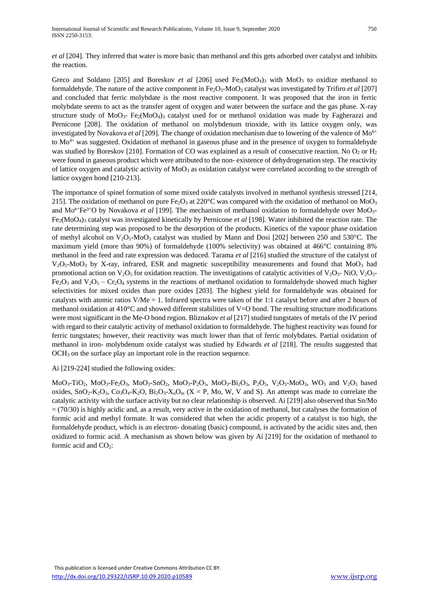*et al* [204]. They inferred that water is more basic than methanol and this gets adsorbed over catalyst and inhibits the reaction.

Greco and Soldano [205] and Boreskov *et al* [206] used  $Fe<sub>2</sub>(MoO<sub>4</sub>)<sub>3</sub>$  with MoO<sub>3</sub> to oxidize methanol to formaldehyde. The nature of the active component in  $Fe<sub>2</sub>O<sub>3</sub>$ -MoO<sub>3</sub> catalyst was investigated by Trifiro *et al* [207] and concluded that ferric molybdate is the most reactive component. It was proposed that the iron in ferric molybdate seems to act as the transfer agent of oxygen and water between the surface and the gas phase. X-ray structure study of MoO<sub>3</sub>- Fe<sub>2</sub>(MoO<sub>4</sub>)<sub>3</sub> catalyst used for or methanol oxidation was made by Fagherazzi and Pernicone [208]. The oxidation of methanol on molybdenum trioxide, with its lattice oxygen only, was investigated by Novakova *et al* [209]. The change of oxidation mechanism due to lowering of the valence of Mo<sup>6+</sup> to Mo4+ was suggested. Oxidation of methanol in gaseous phase and in the presence of oxygen to formaldehyde was studied by Boreskov [210]. Formation of CO was explained as a result of consecutive reaction. No  $O_2$  or  $H_2$ were found in gaseous product which were attributed to the non- existence of dehydrogenation step. The reactivity of lattice oxygen and catalytic activity of MoO<sub>3</sub> as oxidation catalyst were correlated according to the strength of lattice oxygen bond [210-213].

The importance of spinel formation of some mixed oxide catalysts involved in methanol synthesis stressed [214, 215]. The oxidation of methanol on pure Fe<sub>2</sub>O<sub>3</sub> at 220<sup>o</sup>C was compared with the oxidation of methanol on MoO<sub>3</sub> and Mo<sup>6+</sup>Fe<sup>3+</sup>O by Novakova *et al* [199]. The mechanism of methanol oxidation to formaldehyde over MoO<sub>3</sub>-Fe2(MoO4)<sup>3</sup> catalyst was investigated kinetically by Pernicone *et al* [198]. Water inhibited the reaction rate. The rate determining step was proposed to be the desorption of the products. Kinetics of the vapour phase oxidation of methyl alcohol on  $V_2O_5$ -Mo $O_3$  catalyst was studied by Mann and Dosi [202] between 250 and 530°C. The maximum yield (more than 90%) of formaldehyde (100% selectivity) was obtained at 466°C containing 8% methanol in the feed and rate expression was deduced. Tarama *et al* [216] studied the structure of the catalyst of  $V<sub>2</sub>O<sub>5</sub>$ -MoO<sub>3</sub> by X-ray, infrared, ESR and magnetic susceptibility measurements and found that MoO<sub>3</sub> had promotional action on  $V_2O_5$  for oxidation reaction. The investigations of catalytic activities of  $V_2O_5$ - NiO,  $V_2O_5$ - $Fe<sub>2</sub>O<sub>3</sub>$  and  $V<sub>2</sub>O<sub>5</sub> - Cr<sub>2</sub>O<sub>4</sub>$  systems in the reactions of methanol oxidation to formaldehyde showed much higher selectivities for mixed oxides than pure oxides [203]. The highest yield for formaldehyde was obtained for catalysts with atomic ratios V/Me = 1. Infrared spectra were taken of the 1:1 catalyst before and after 2 hours of methanol oxidation at  $410^{\circ}$ C and showed different stabilities of V=O bond. The resulting structure modifications were most significant in the Me-O bond region. Bliznakov *et al* [217] studied tungstates of metals of the IV period with regard to their catalytic activity of methanol oxidation to formaldehyde. The highest reactivity was found for ferric tungstates; however, their reactivity was much lower than that of ferric molybdates. Partial oxidation of methanol in iron- molybdenum oxide catalyst was studied by Edwards *et al* [218]. The results suggested that OCH<sub>3</sub> on the surface play an important role in the reaction sequence.

## Ai [219-224] studied the following oxides:

 $MO_3$ -TiO<sub>2</sub>,  $Mo_3$ -Fe<sub>2</sub>O<sub>3</sub>,  $Mo_3$ -SnO<sub>2</sub>,  $Mo_3$ -P<sub>2</sub>O<sub>5</sub>,  $Mo_3$ -Bi<sub>2</sub>O<sub>3</sub>, P<sub>2</sub>O<sub>5</sub>, V<sub>2</sub>O<sub>5</sub>-MoO<sub>3</sub>, WO<sub>3</sub> and V<sub>2</sub>O<sub>5</sub> based oxides,  $SnO<sub>2</sub>-K<sub>2</sub>O<sub>3</sub>$ ,  $Co<sub>3</sub>O<sub>4</sub>-K<sub>2</sub>O$ ,  $Bi<sub>2</sub>O<sub>3</sub>-X<sub>n</sub>O<sub>m</sub>$  (X = P, Mo, W, V and S). An attempt was made to correlate the catalytic activity with the surface activity but no clear relationship is observed. Ai [219] also observed that Sn/Mo  $=$  (70/30) is highly acidic and, as a result, very active in the oxidation of methanol, but catalyses the formation of formic acid and methyl formate. It was considered that when the acidic property of a catalyst is too high, the formaldehyde product, which is an electron- donating (basic) compound, is activated by the acidic sites and, then oxidized to formic acid. A mechanism as shown below was given by Ai [219] for the oxidation of methanol to formic acid and  $CO<sub>2</sub>$ :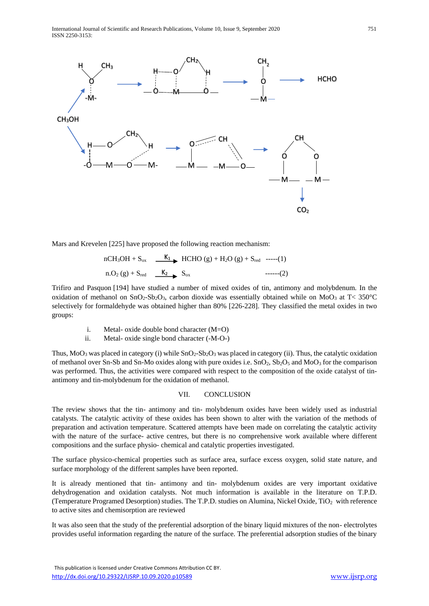

Mars and Krevelen [225] have proposed the following reaction mechanism:

nCH<sub>3</sub>OH + S<sub>ox</sub> 
$$
\xrightarrow{K_1}
$$
 HCHO (g) + H<sub>2</sub>O (g) + S<sub>red</sub> ----(1)  
n.O<sub>2</sub> (g) + S<sub>red</sub>  $\xrightarrow{K_2}$  S<sub>ox</sub> ----(2)

Trifiro and Pasquon [194] have studied a number of mixed oxides of tin, antimony and molybdenum. In the oxidation of methanol on  $SnO_2-Sb_2O_3$ , carbon dioxide was essentially obtained while on MoO<sub>3</sub> at T< 350°C selectively for formaldehyde was obtained higher than 80% [226-228]. They classified the metal oxides in two groups:

- i. Metal- oxide double bond character (M=O)
- ii. Metal- oxide single bond character (-M-O-)

Thus, MoO<sub>3</sub> was placed in category (i) while  $SnO_2-Sb_2O_3$  was placed in category (ii). Thus, the catalytic oxidation of methanol over Sn-Sb and Sn-Mo oxides along with pure oxides i.e.  $SnO<sub>2</sub>, Sp<sub>2</sub>O<sub>5</sub>$  and MoO<sub>3</sub> for the comparison was performed. Thus, the activities were compared with respect to the composition of the oxide catalyst of tinantimony and tin-molybdenum for the oxidation of methanol.

#### VII. CONCLUSION

The review shows that the tin- antimony and tin- molybdenum oxides have been widely used as industrial catalysts. The catalytic activity of these oxides has been shown to alter with the variation of the methods of preparation and activation temperature. Scattered attempts have been made on correlating the catalytic activity with the nature of the surface- active centres, but there is no comprehensive work available where different compositions and the surface physio- chemical and catalytic properties investigated.

The surface physico-chemical properties such as surface area, surface excess oxygen, solid state nature, and surface morphology of the different samples have been reported.

It is already mentioned that tin- antimony and tin- molybdenum oxides are very important oxidative dehydrogenation and oxidation catalysts. Not much information is available in the literature on T.P.D. (Temperature Programed Desorption) studies. The T.P.D. studies on Alumina, Nickel Oxide, TiO2 with reference to active sites and chemisorption are reviewed

It was also seen that the study of the preferential adsorption of the binary liquid mixtures of the non- electrolytes provides useful information regarding the nature of the surface. The preferential adsorption studies of the binary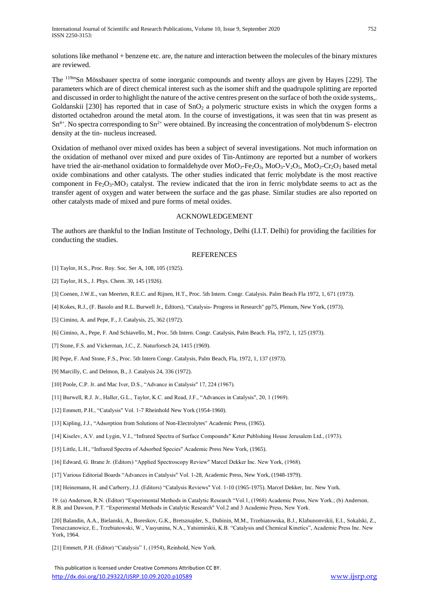solutions like methanol + benzene etc. are, the nature and interaction between the molecules of the binary mixtures are reviewed.

The 119mSn Mössbauer spectra of some inorganic compounds and twenty alloys are given by Hayes [229]. The parameters which are of direct chemical interest such as the isomer shift and the quadrupole splitting are reported and discussed in order to highlight the nature of the active centres present on the surface of both the oxide systems,. Goldanskii [230] has reported that in case of  $SnO<sub>2</sub>$  a polymeric structure exists in which the oxygen forms a distorted octahedron around the metal atom. In the course of investigations, it was seen that tin was present as  $Sn^{4+}$ . No spectra corresponding to  $Sn^{2+}$  were obtained. By increasing the concentration of molybdenum S- electron density at the tin- nucleus increased.

Oxidation of methanol over mixed oxides has been a subject of several investigations. Not much information on the oxidation of methanol over mixed and pure oxides of Tin-Antimony are reported but a number of workers have tried the air-methanol oxidation to formaldehyde over  $MoO<sub>3</sub>-Fe<sub>2</sub>O<sub>3</sub>$ ,  $MoO<sub>3</sub>-V<sub>2</sub>O<sub>5</sub>$ ,  $MoO<sub>3</sub>-Cr<sub>2</sub>O<sub>3</sub>$  based metal oxide combinations and other catalysts. The other studies indicated that ferric molybdate is the most reactive component in  $Fe<sub>2</sub>O<sub>3</sub>$ -MO<sub>3</sub> catalyst. The review indicated that the iron in ferric molybdate seems to act as the transfer agent of oxygen and water between the surface and the gas phase. Similar studies are also reported on other catalysts made of mixed and pure forms of metal oxides.

#### ACKNOWLEDGEMENT

The authors are thankful to the Indian Institute of Technology, Delhi (I.I.T. Delhi) for providing the facilities for conducting the studies.

#### **REFERENCES**

[1] Taylor, H.S., Proc. Roy. Soc. Ser A, 108, 105 (1925).

[2] Taylor, H.S., J. Phys. Chem. 30, 145 (1926).

- [3] Coenen, J.W.E., van Meerten, R.E.C. and Rijnen, H.T., Proc. 5th Intern. Congr. Catalysis. Palm Beach Fla 1972, 1, 671 (1973).
- [4] Kokes, R.J., (F. Basolo and R.L. Burwell Jr., Editors), "Catalysis- Progress in Research" pp75, Plenum, New York, (1973).

[5] Cimino, A. and Pepe, F., J. Catalysis, 25, 362 (1972).

[6] Cimino, A., Pepe, F. And Schiavello, M., Proc. 5th Intern. Congr. Catalysis, Palm Beach. Fla, 1972, 1, 125 (1973).

[7] Stone, F.S. and Vickerman, J.C., Z. Naturforsch 24, 1415 (1969).

[8] Pepe, F. And Stone, F.S., Proc. 5th Intern Congr. Catalysis, Palm Beach, Fla, 1972, 1, 137 (1973).

[9] Marcilly, C. and Delmon, B., J. Catalysis 24, 336 (1972).

[10] Poole, C.P. Jr. and Mac Iver, D.S., "Advance in Catalysis" 17, 224 (1967).

[11] Burwell, R.J. Jr., Haller, G.L., Taylor, K.C. and Read, J.F., "Advances in Catalysis", 20, 1 (1969).

[12] Emmett, P.H., "Catalysis" Vol. 1-7 Rheinhold New York (1954-1960).

[13] Kipling, J.J., "Adsorption from Solutions of Non-Electrolytes" Academic Press, (1965).

[14] Kiselev, A.V. and Lygin, V.I., "Infrared Spectra of Surface Compounds" Keter Publishing House Jerusalem Ltd., (1973).

[15] Little, L.H., "Infrared Spectra of Adsorbed Species" Academic Press New York, (1965).

[16] Edward, G. Brane Jr. (Editors) "Applied Spectroscopy Review" Marcel Dekker Inc. New York, (1968).

[17] Various Editorial Boards "Advances in Catalysis" Vol. 1-28, Academic Press, New York, (1948-1979).

[18] Heinemann, H. and Carberry, J.J. (Editors) "Catalysis Reviews" Vol. 1-10 (1965-1975). Marcel Dekker, Inc. New York.

19. (a) Anderson, R.N. (Editor) "Experimental Methods in Catalytic Research "Vol.1, (1968) Academic Press, New York.; (b) Anderson, R.B. and Dawson, P.T. "Experimental Methods in Catalytic Research" Vol.2 and 3 Academic Press, New York.

[20] Balandin, A.A., Bielanski, A., Boreskov, G.K., Bretsznajder, S., Dubinin, M.M., Trzebiatowska, B.J., Klabunonvskii, E.I., Sokalski, Z., Treszczanowicz, E., Trzebiatowski, W., Vasyunina, N.A., Yatsimirskii, K.B. "Catalysis and Chemical Kinetics", Academic Press Inc. New York, 1964.

[21] Emmett, P.H. (Editor) "Catalysis" 1, (1954), Reinhold, New York.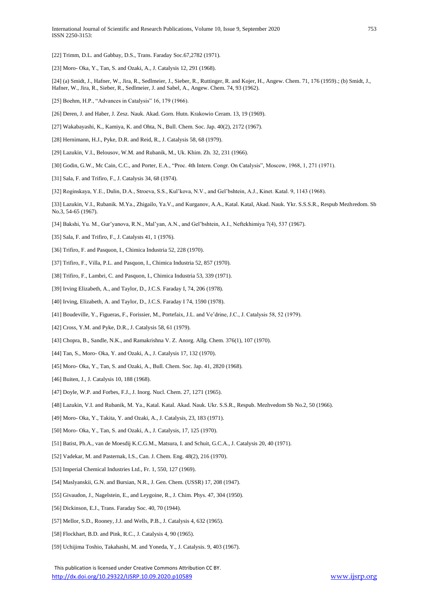- [22] Trimm, D.L. and Gabbay, D.S., Trans. Faraday Soc.67,2782 (1971).
- [23] Moro- Oka, Y., Tan, S. and Ozaki, A., J. Catalysis 12, 291 (1968).

[24] (a) Smidt, J., Hafner, W., Jira, R., Sedlmeier, J., Sieber, R., Ruttinger, R. and Kojer, H., Angew. Chem. 71, 176 (1959).; (b) Smidt, J., Hafner, W., Jira, R., Sieber, R., Sedlmeier, J. and Sabel, A., Angew. Chem. 74, 93 (1962).

- [25] Boehm, H.P., "Advances in Catalysis" 16, 179 (1966).
- [26] Deren, J. and Haber, J. Zesz. Nauk. Akad. Gorn. Hutn. Krakowio Ceram. 13, 19 (1969).
- [27] Wakabayashi, K., Kamiya, K. and Ohta, N., Bull. Chem. Soc. Jap. 40(2), 2172 (1967).
- [28] Hernimann, H.J., Pyke, D.R. and Reid, R., J. Catalysis 58, 68 (1979).
- [29] Lazukin, V.I., Belousov, W.M. and Rubanik, M., Uk. Khim. Zh. 32, 231 (1966).
- [30] Godin, G.W., Mc Cain, C.C., and Porter, E.A., "Proc. 4th Intern. Congr. On Catalysis", Moscow, 1968, 1, 271 (1971).
- [31] Sala, F. and Trifiro, F., J. Catalysis 34, 68 (1974).
- [32] Roginskaya, Y.E., Dulin, D.A., Stroeva, S.S., Kul'kova, N.V., and Gel'bshtein, A.J., Kinet. Katal. 9, 1143 (1968).

[33] Lazukin, V.I., Rubanik. M.Ya., Zhigailo, Ya.V., and Kurganov, A.A., Katal. Katal, Akad. Nauk. Ykr. S.S.S.R., Respub Mezhredom. Sb No.3, 54-65 (1967).

- [34] Bakshi, Yu. M., Gur'yanova, R.N., Mal'yan, A.N., and Gel'bshtein, A.I., Neftekhimiya 7(4), 537 (1967).
- [35] Sala, F. and Trifiro, F., J. Catalysts 41, 1 (1976).
- [36] Trifiro, F. and Pasquon, I., Chimica Industria 52, 228 (1970).
- [37] Trifiro, F., Villa, P.L. and Pasquon, I., Chimica Industria 52, 857 (1970).
- [38] Trifiro, F., Lambri, C. and Pasquon, I., Chimica Industria 53, 339 (1971).
- [39] Irving Elizabeth, A., and Taylor, D., J.C.S. Faraday I, 74, 206 (1978).
- [40] Irving, Elizabeth, A. and Taylor, D., J.C.S. Faraday I 74, 1590 (1978).
- [41] Boudeville, Y., Figueras, F., Forissier, M., Portefaix, J.L. and Ve'drine, J.C., J. Catalysis 58, 52 (1979).
- [42] Cross, Y.M. and Pyke, D.R., J. Catalysis 58, 61 (1979).
- [43] Chopra, B., Sandle, N.K., and Ramakrishna V. Z. Anorg. Allg. Chem. 376(1), 107 (1970).
- [44] Tan, S., Moro- Oka, Y. and Ozaki, A., J. Catalysis 17, 132 (1970).
- [45] Moro- Oka, Y., Tan, S. and Ozaki, A., Bull. Chem. Soc. Jap. 41, 2820 (1968).
- [46] Buiten, J., J. Catalysis 10, 188 (1968).
- [47] Doyle, W.P. and Forbes, F.J., J. Inorg. Nucl. Chem. 27, 1271 (1965).
- [48] Lazukin, V.I. and Rubanik, M. Ya., Katal. Katal. Akad. Nauk. Ukr. S.S.R., Respub. Mezhvedom Sb No.2, 50 (1966).
- [49] Moro- Oka, Y., Takita, Y. and Ozaki, A., J. Catalysis, 23, 183 (1971).
- [50] Moro- Oka, Y., Tan, S. and Ozaki, A., J. Catalysis, 17, 125 (1970).
- [51] Batist, Ph.A., van de Moesdij K.C.G.M., Matsura, I. and Schuit, G.C.A., J. Catalysis 20, 40 (1971).
- [52] Vadekar, M. and Pasternak, I.S., Can. J. Chem. Eng. 48(2), 216 (1970).
- [53] Imperial Chemical Industries Ltd., Fr. 1, 550, 127 (1969).
- [54] Maslyanskii, G.N. and Bursian, N.R., J. Gen. Chem. (USSR) 17, 208 (1947).
- [55] Givaudon, J., Nagelstein, E., and Leygoine, R., J. Chim. Phys. 47, 304 (1950).
- [56] Dickinson, E.J., Trans. Faraday Soc. 40, 70 (1944).
- [57] Mellor, S.D., Rooney, J.J. and Wells, P.B., J. Catalysis 4, 632 (1965).
- [58] Flockhart, B.D. and Pink, R.C., J. Catalysis 4, 90 (1965).
- [59] Uchijima Toshio, Takahashi, M. and Yoneda, Y., J. Catalysis. 9, 403 (1967).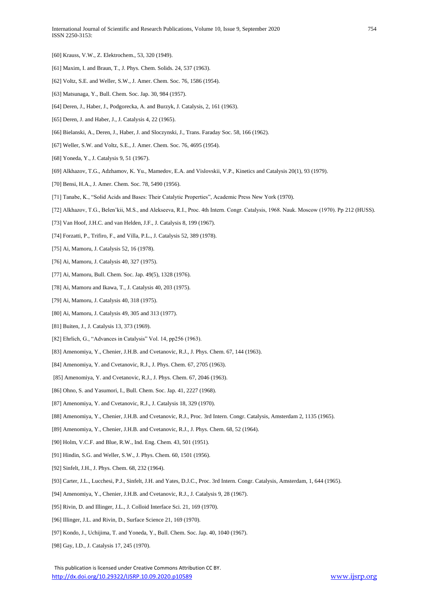- [60] Krauss, V.W., Z. Elektrochem., 53, 320 (1949).
- [61] Maxim, I. and Braun, T., J. Phys. Chem. Solids. 24, 537 (1963).
- [62] Voltz, S.E. and Weller, S.W., J. Amer. Chem. Soc. 76, 1586 (1954).
- [63] Matsunaga, Y., Bull. Chem. Soc. Jap. 30, 984 (1957).
- [64] Deren, J., Haber, J., Podgorecka, A. and Burzyk, J. Catalysis, 2, 161 (1963).
- [65] Deren, J. and Haber, J., J. Catalysis 4, 22 (1965).
- [66] Bielanski, A., Deren, J., Haber, J. and Sloczynski, J., Trans. Faraday Soc. 58, 166 (1962).
- [67] Weller, S.W. and Voltz, S.E., J. Amer. Chem. Soc. 76, 4695 (1954).
- [68] Yoneda, Y., J. Catalysis 9, 51 (1967).
- [69] Alkhazov, T.G., Adzhamov, K. Yu., Mamedov, E.A. and Vislovskii, V.P., Kinetics and Catalysis 20(1), 93 (1979).
- [70] Bensi, H.A., J. Amer. Chem. Soc. 78, 5490 (1956).
- [71] Tanabe, K., "Solid Acids and Bases: Their Catalytic Properties", Academic Press New York (1970).
- [72] Alkhazov, T.G., Belen'kii, M.S., and Alekseeva, R.I., Proc. 4th Intern. Congr. Catalysis, 1968. Nauk. Moscow (1970). Pp 212 (HUSS).
- [73] Van Hoof, J.H.C. and van Helden, J.F., J. Catalysis 8, 199 (1967).
- [74] Forzatti, P., Trifiro, F., and Villa, P.L., J. Catalysis 52, 389 (1978).
- [75] Ai, Mamoru, J. Catalysis 52, 16 (1978).
- [76] Ai, Mamoru, J. Catalysis 40, 327 (1975).
- [77] Ai, Mamoru, Bull. Chem. Soc. Jap. 49(5), 1328 (1976).
- [78] Ai, Mamoru and Ikawa, T., J. Catalysis 40, 203 (1975).
- [79] Ai, Mamoru, J. Catalysis 40, 318 (1975).
- [80] Ai, Mamoru, J. Catalysis 49, 305 and 313 (1977).
- [81] Buiten, J., J. Catalysis 13, 373 (1969).
- [82] Ehrlich, G., "Advances in Catalysis" Vol. 14, pp256 (1963).
- [83] Amenomiya, Y., Chenier, J.H.B. and Cvetanovic, R.J., J. Phys. Chem. 67, 144 (1963).
- [84] Amenomiya, Y. and Cvetanovic, R.J., J. Phys. Chem. 67, 2705 (1963).
- [85] Amenomiya, Y. and Cvetanovic, R.J., J. Phys. Chem. 67, 2046 (1963).
- [86] Ohno, S. and Yasumori, I., Bull. Chem. Soc. Jap. 41, 2227 (1968).
- [87] Amenomiya, Y. and Cvetanovic, R.J., J. Catalysis 18, 329 (1970).
- [88] Amenomiya, Y., Chenier, J.H.B. and Cvetanovic, R.J., Proc. 3rd Intern. Congr. Catalysis, Amsterdam 2, 1135 (1965).
- [89] Amenomiya, Y., Chenier, J.H.B. and Cvetanovic, R.J., J. Phys. Chem. 68, 52 (1964).
- [90] Holm, V.C.F. and Blue, R.W., Ind. Eng. Chem. 43, 501 (1951).
- [91] Hindin, S.G. and Weller, S.W., J. Phys. Chem. 60, 1501 (1956).
- [92] Sinfelt, J.H., J. Phys. Chem. 68, 232 (1964).
- [93] Carter, J.L., Lucchesi, P.J., Sinfelt, J.H. and Yates, D.J.C., Proc. 3rd Intern. Congr. Catalysis, Amsterdam, 1, 644 (1965).
- [94] Amenomiya, Y., Chenier, J.H.B. and Cvetanovic, R.J., J. Catalysis 9, 28 (1967).
- [95] Rivin, D. and Illinger, J.L., J. Colloid Interface Sci. 21, 169 (1970).
- [96] Illinger, J.L. and Rivin, D., Surface Science 21, 169 (1970).
- [97] Kondo, J., Uchijima, T. and Yoneda, Y., Bull. Chem. Soc. Jap. 40, 1040 (1967).
- [98] Gay, I.D., J. Catalysis 17, 245 (1970).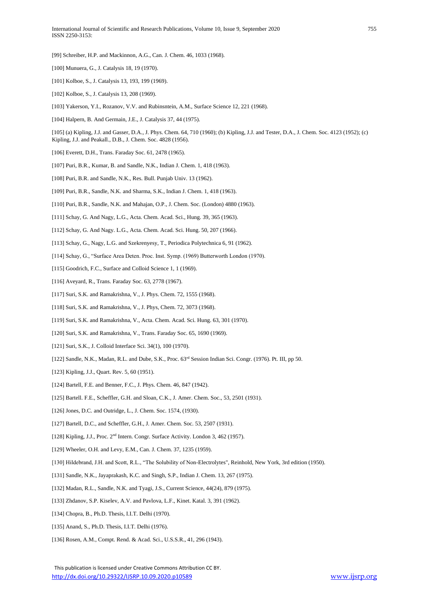[99] Schreiber, H.P. and Mackinnon, A.G., Can. J. Chem. 46, 1033 (1968).

- [100] Munuera, G., J. Catalysis 18, 19 (1970).
- [101] Kolboe, S., J. Catalysis 13, 193, 199 (1969).
- [102] Kolboe, S., J. Catalysis 13, 208 (1969).
- [103] Yakerson, Y.I., Rozanov, V.V. and Rubinsntein, A.M., Surface Science 12, 221 (1968).
- [104] Halpern, B. And Germain, J.E., J. Catalysis 37, 44 (1975).
- [105] (a) Kipling, J.J. and Gasser, D.A., J. Phys. Chem. 64, 710 (1960); (b) Kipling, J.J. and Tester, D.A., J. Chem. Soc. 4123 (1952); (c) Kipling, J.J. and Peakall., D.B., J. Chem. Soc. 4828 (1956).
- [106] Everett, D.H., Trans. Faraday Soc. 61, 2478 (1965).
- [107] Puri, B.R., Kumar, B. and Sandle, N.K., Indian J. Chem. 1, 418 (1963).
- [108] Puri, B.R. and Sandle, N.K., Res. Bull. Punjab Univ. 13 (1962).
- [109] Puri, B.R., Sandle, N.K. and Sharma, S.K., Indian J. Chem. 1, 418 (1963).
- [110] Puri, B.R., Sandle, N.K. and Mahajan, O.P., J. Chem. Soc. (London) 4880 (1963).
- [111] Schay, G. And Nagy, L.G., Acta. Chem. Acad. Sci., Hung. 39, 365 (1963).
- [112] Schay, G. And Nagy. L.G., Acta. Chem. Acad. Sci. Hung. 50, 207 (1966).
- [113] Schay, G., Nagy, L.G. and Szekrenyesy, T., Periodica Polytechnica 6, 91 (1962).
- [114] Schay, G., "Surface Area Deten. Proc. Inst. Symp. (1969) Butterworth London (1970).
- [115] Goodrich, F.C., Surface and Colloid Science 1, 1 (1969).
- [116] Aveyard, R., Trans. Faraday Soc. 63, 2778 (1967).
- [117] Suri, S.K. and Ramakrishna, V., J. Phys. Chem. 72, 1555 (1968).
- [118] Suri, S.K. and Ramakrishna, V., J. Phys, Chem. 72, 3073 (1968).
- [119] Suri, S.K. and Ramakrishna, V., Acta. Chem. Acad. Sci. Hung. 63, 301 (1970).
- [120] Suri, S.K. and Ramakrishna, V., Trans. Faraday Soc. 65, 1690 (1969).
- [121] Suri, S.K., J. Colloid Interface Sci. 34(1), 100 (1970).
- [122] Sandle, N.K., Madan, R.L. and Dube, S.K., Proc. 63rd Session Indian Sci. Congr. (1976). Pt. III, pp 50.
- [123] Kipling, J.J., Quart. Rev. 5, 60 (1951).
- [124] Bartell, F.E. and Benner, F.C., J. Phys. Chem. 46, 847 (1942).
- [125] Bartell. F.E., Scheffler, G.H. and Sloan, C.K., J. Amer. Chem. Soc., 53, 2501 (1931).
- [126] Jones, D.C. and Outridge, L., J. Chem. Soc. 1574, (1930).
- [127] Bartell, D.C., and Scheffler, G.H., J. Amer. Chem. Soc. 53, 2507 (1931).
- [128] Kipling, J.J., Proc. 2<sup>nd</sup> Intern. Congr. Surface Activity. London 3, 462 (1957).
- [129] Wheeler, O.H. and Levy, E.M., Can. J. Chem. 37, 1235 (1959).
- [130] Hildebrand, J.H. and Scott, R.L., "The Solubility of Non-Electrolytes", Reinhold, New York, 3rd edition (1950).
- [131] Sandle, N.K., Jayaprakash, K.C. and Singh, S.P., Indian J. Chem. 13, 267 (1975).
- [132] Madan, R.L., Sandle, N.K. and Tyagi, J.S., Current Science, 44(24), 879 (1975).
- [133] Zhdanov, S.P. Kiselev, A.V. and Pavlova, L.F., Kinet. Katal. 3, 391 (1962).
- [134] Chopra, B., Ph.D. Thesis, I.I.T. Delhi (1970).
- [135] Anand, S., Ph.D. Thesis, I.I.T. Delhi (1976).
- [136] Rosen, A.M., Compt. Rend. & Acad. Sci., U.S.S.R., 41, 296 (1943).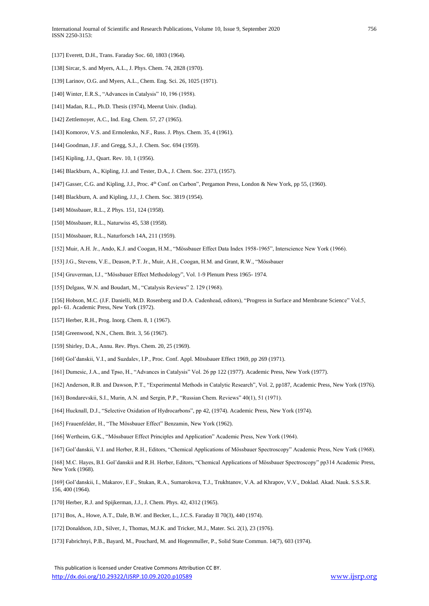- [137] Everett, D.H., Trans. Faraday Soc. 60, 1803 (1964).
- [138] Sircar, S. and Myers, A.L., J. Phys. Chem. 74, 2828 (1970).
- [139] Larinov, O.G. and Myers, A.L., Chem. Eng. Sci. 26, 1025 (1971).
- [140] Winter, E.R.S., "Advances in Catalysis" 10, 196 (1958).
- [141] Madan, R.L., Ph.D. Thesis (1974), Meerut Univ. (India).
- [142] Zettlemoyer, A.C., Ind. Eng. Chem. 57, 27 (1965).
- [143] Komorov, V.S. and Ermolenko, N.F., Russ. J. Phys. Chem. 35, 4 (1961).
- [144] Goodman, J.F. and Gregg, S.J., J. Chem. Soc. 694 (1959).
- [145] Kipling, J.J., Quart. Rev. 10, 1 (1956).
- [146] Blackburn, A., Kipling, J.J. and Tester, D.A., J. Chem. Soc. 2373, (1957).
- [147] Gasser, C.G. and Kipling, J.J., Proc. 4<sup>th</sup> Conf. on Carbon", Pergamon Press, London & New York, pp 55, (1960).
- [148] Blackburn, A. and Kipling, J.J., J. Chem. Soc. 3819 (1954).
- [149] Mössbauer, R.L., Z Phys. 151, 124 (1958).
- [150] Mössbauer, R.L., Naturwiss 45, 538 (1958).
- [151] Mössbauer, R.L., Naturforsch 14A, 211 (1959).
- [152] Muir, A.H. Jr., Ando, K.J. and Coogan, H.M., "Mössbauer Effect Data Index 1958-1965", Interscience New York (1966).
- [153] J.G., Stevens, V.E., Deason, P.T. Jr., Muir, A.H., Coogan, H.M. and Grant, R.W., "Mössbauer
- [154] Gruverman, I.J., "Mössbauer Effect Methodology", Vol. 1-9 Plenum Press 1965- 1974.
- [155] Delgass, W.N. and Boudart, M., "Catalysis Reviews" 2. 129 (1968).
- [156] Hobson, M.C. (J.F. Danielli, M.D. Rosenberg and D.A. Cadenhead, editors), "Progress in Surface and Membrane Science" Vol.5, pp1- 61. Academic Press, New York (1972).
- [157] Herber, R.H., Prog. Inorg. Chem. 8, 1 (1967).
- [158] Greenwood, N.N., Chem. Brit. 3, 56 (1967).
- [159] Shirley, D.A., Annu. Rev. Phys. Chem. 20, 25 (1969).
- [160] Gol'danskii, V.I., and Suzdalev, I.P., Proc. Conf. Appl. Mössbauer Effect 1969, pp 269 (1971).
- [161] Dumesic, J.A., and Tpso, H., "Advances in Catalysis" Vol. 26 pp 122 (1977). Academic Press, New York (1977).
- [162] Anderson, R.B. and Dawson, P.T., "Experimental Methods in Catalytic Research", Vol. 2, pp187, Academic Press, New York (1976).
- [163] Bondarevskii, S.I., Murin, A.N. and Sergin, P.P., "Russian Chem. Reviews" 40(1), 51 (1971).
- [164] Hucknall, D.J., "Selective Oxidation of Hydrocarbons", pp 42, (1974). Academic Press, New York (1974).
- [165] Frauenfelder, H., "The Mössbauer Effect" Benzamin, New York (1962).
- [166] Wertheim, G.K., "Mössbauer Effect Principles and Application" Academic Press, New York (1964).
- [167] Gol'danskii, V.I. and Herber, R.H., Editors, "Chemical Applications of Mössbauer Spectroscopy" Academic Press, New York (1968).
- [168] M.C. Hayes, B.I. Gol'danskii and R.H. Herber, Editors, "Chemical Applications of Mössbauer Spectroscopy" pp314 Academic Press, New York (1968).
- [169] Gol'danskii, I., Makarov, E.F., Stukan, R.A., Sumarokova, T.J., Trukhtanov, V.A. ad Khrapov, V.V., Doklad. Akad. Nauk. S.S.S.R. 156, 400 (1964).
- [170] Herber, R.J. and Spijkerman, J.J., J. Chem. Phys. 42, 4312 (1965).
- [171] Bos, A., Howe, A.T., Dale, B.W. and Becker, L., J.C.S. Faraday II 70(3), 440 (1974).
- [172] Donaldson, J.D., Silver, J., Thomas, M.J.K. and Tricker, M.J., Mater. Sci. 2(1), 23 (1976).
- [173] Fabrichnyi, P.B., Bayard, M., Pouchard, M. and Hogenmuller, P., Solid State Commun. 14(7), 603 (1974).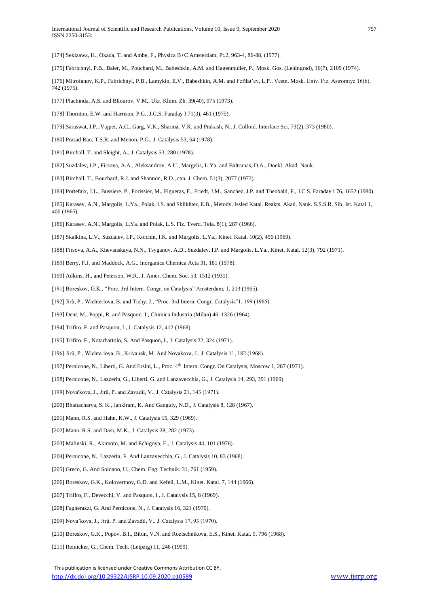[174] Sekizawa, H., Okada, T. and Ambe, F., Physica B+C Amsterdam, Pt.2, 963-4, 86-88, (1977).

- [175] Fabrichnyi, P.B., Baier, M., Pouchard, M., Babeshkin, A.M. and Hagenmuller, P., Mosk. Gos. (Leningrad), 16(7), 2109 (1974).
- [176] Mitrofanov, K.P., Fabrichnyi, P.B., Lamykin, E.V., Babeshkin, A.M. and Fefilat'ev, L.P., Vestn. Mosk. Univ. Fiz. Astromiye 16(6), 742 (1975).
- [177] Plachinda, A.S. and Bllourov, V.M., Ukr. Khim. Zh. 39(40), 975 (1973).
- [178] Thornton, E.W. and Harrison, P.G., J.C.S. Faraday I 71(3), 461 (1975).
- [179] Saraswat, I.P., Vajpei, A.C., Garg, V.K., Sharma, V.K. and Prakash, N., J. Colloid. Interface Sci. 73(2), 373 (1980).
- [180] Prasad Rao, T.S.R. and Menon, P.G., J. Catalysis 53, 64 (1978).
- [181] Birchall, T. and Sleight, A., J. Catalysis 53, 280 (1978).
- [182] Suzdalev, I.P., Firsova, A.A., Aleksandrov, A.U., Margelis, L.Ya. and Baltrunas, D.A., Doekl. Akad. Nauk.
- [183] Birchall, T., Bouchard, R.J. and Shannon, R.D., can. J. Chem. 51(3), 2077 (1973).
- [184] Portefaix, J.L., Bussiere, P., Forissier, M., Figueras, F., Friedt, J.M., Sanchez, J.P. and Theobald, F., J.C.S. Faraday I 76, 1652 (1980).
- [185] Karasev, A.N., Margolis, L.Ya., Polak, I.S. and Shlikhter, E.B., Metody. Issled Katal. Reakts. Akad. Nauk. S.S.S.R. Sib. Ist. Katal 1, 400 (1965).
- [186] Karasev, A.N., Margolis, L.Ya. and Polak, L.S. Fiz. Tverd. Tela. 8(1), 287 (1966).
- [187] Skalkina, L.V., Suzdalev, I.P., Kolchin, I.K. and Margolis, L.Ya., Kinet. Katal. 10(2), 456 (1969).
- [188] Firsova, A.A., Khevanskaya, N.N., Tsyganov, A.D., Suzdalev, I.P. and Margolis, L.Ya., Kinet. Katal. 12(3), 792 (1971).
- [189] Berry, F.J. and Maddock, A.G., Inorganica Chemica Acta 31, 181 (1978).
- [190] Adkins, H., and Peterson, W.R., J. Amer. Chem. Soc. 53, 1512 (1931).
- [191] Boreskov, G.K., "Proc. 3rd Intern. Congr. on Catalysis" Amsterdam, 1, 213 (1965).
- [192] Jirů, P., Wichterlova, B. and Tichy, J., "Proc. 3rd Intern. Congr. Catalysis"1, 199 (1965).
- [193] Dent, M., Poppi, R. and Pasquon. I., Chimica Industria (Milan) 46, 1326 (1964).
- [194] Trifiro, F. and Pasquon, I., J. Catalysis 12, 412 (1968).
- [195] Trifiro, F., Notarbartolo, S. And Pasquon, I., J. Catalysis 22, 324 (1971).
- [196] Jirů, P., Wichterlova, B., Krivanek, M. And Novakova, J., J. Catalysis 11, 182 (1968).
- [197] Pernicone, N., Liberti, G. And Ersini, L., Proc. 4<sup>th</sup> Intern. Congr. On Catalysis, Moscow 1, 287 (1971).
- [198] Pernicone, N., Lazzerin, G., Liberti, G. and Lanzavecchia, G., J. Catalysis 14, 293, 391 (1969).
- [199] Nova'kova, J., Jirů, P. and Zavadil, V., J. Catalysis 21, 143 (1971).
- [200] Bhattacharya, S. K., Jankiram, K. And Ganguly, N.D., J. Catalysis 8, 128 (1967).
- [201] Mann, R.S. and Hahn, K.W., J. Catalysis 15, 329 (1969).
- [202] Mann, R.S. and Dosi, M.K., J. Catalysis 28, 282 (1973).
- [203] Malinski, R., Akimoto, M. and Echigoya, E., J. Catalysis 44, 101 (1976).
- [204] Pernicone, N., Lazzerin, F. And Lanzavecchia, G., J. Catalysis 10, 83 (1968).
- [205] Greco, G. And Soldano, U., Chem. Eng. Technik. 31, 761 (1959).
- [206] Boreskov, G.K., Kolovertnov, G.D. and Kefeli, L.M., Kinet. Katal. 7, 144 (1966).
- [207] Trifiro, F., Devecchi, V. and Pasquon, I., J. Catalysis 15, 8 (1969).
- [208] Fagherazzi, G. And Pernicone, N., J. Catalysis 16, 321 (1970).
- [209] Nova'kova, J., Jirů, P. and Zavadil, V., J. Catalysis 17, 93 (1970).
- [210] Boreskov, G.K., Popov, B.I., Bibin, V.N. and Rozischnikova, E.S., Kinet. Katal. 9, 796 (1968).
- [211] Reinicker, G., Chem. Tech. (Leipzig) 11, 246 (1959).